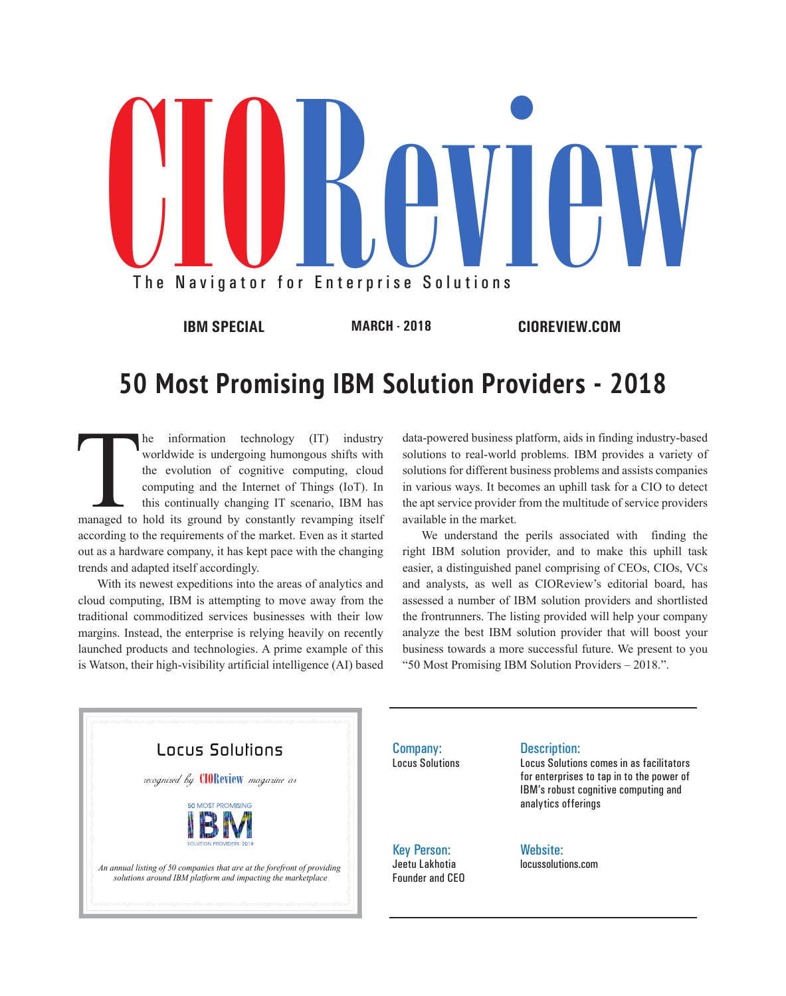

## **50 Most Promising IBM Solution Providers - 2018**

The information technology (IT) industry worldwide is undergoing humongous shifts with the evolution of cognitive computing, cloud computing and the Internet of Things (IoT). In this continually changing IT scenario, IBM h worldwide is undergoing humongous shifts with the evolution of cognitive computing, cloud computing and the Internet of Things (IoT). In this continually changing IT scenario, IBM has according to the requirements of the market. Even as it started out as a hardware company, it has kept pace with the changing trends and adapted itself accordingly.

With its newest expeditions into the areas of analytics and cloud computing, IBM is attempting to move away from the traditional commoditized services businesses with their low margins. Instead, the enterprise is relying heavily on recently launched products and technologies. A prime example of this is Watson, their high-visibility artificial intelligence (AI) based

data-powered business platform, aids in finding industry-based solutions to real-world problems. IBM provides a variety of solutions for different business problems and assists companies in various ways. It becomes an uphill task for a CIO to detect the apt service provider from the multitude of service providers available in the market.

We understand the perils associated with finding the right IBM solution provider, and to make this uphill task easier, a distinguished panel comprising of CEOs, CIOs, VCs and analysts, as well as CIOReview's editorial board, has assessed a number of IBM solution providers and shortlisted the frontrunners. The listing provided will help your company analyze the best IBM solution provider that will boost your business towards a more successful future. We present to you "50 Most Promising IBM Solution Providers – 2018.".



Company: Locus Solutions

Key Person: Jeetu Lakhotia Founder and CEO

## Description:

Locus Solutions comes in as facilitators for enterprises to tap in to the power of IBM's robust cognitive computing and analytics offerings

Website: locussolutions.com